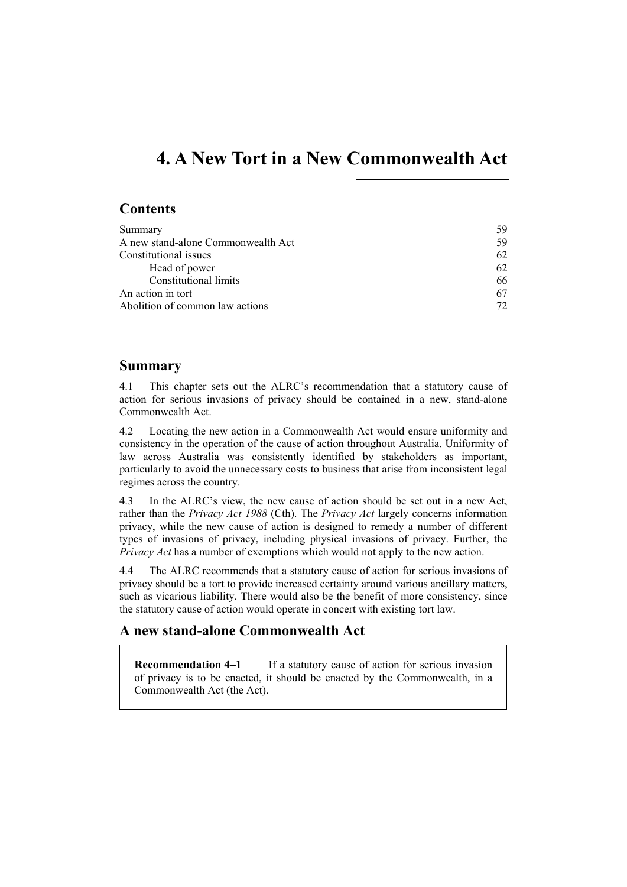# **4. A New Tort in a New Commonwealth Act**

# **Contents**

| Summary                            | 59 |
|------------------------------------|----|
| A new stand-alone Commonwealth Act | 59 |
| Constitutional issues              | 62 |
| Head of power                      | 62 |
| <b>Constitutional limits</b>       | 66 |
| An action in tort                  | 67 |
| Abolition of common law actions    | 72 |

# **Summary**

4.1 This chapter sets out the ALRC's recommendation that a statutory cause of action for serious invasions of privacy should be contained in a new, stand-alone Commonwealth Act.

4.2 Locating the new action in a Commonwealth Act would ensure uniformity and consistency in the operation of the cause of action throughout Australia. Uniformity of law across Australia was consistently identified by stakeholders as important, particularly to avoid the unnecessary costs to business that arise from inconsistent legal regimes across the country.

4.3 In the ALRC's view, the new cause of action should be set out in a new Act, rather than the *Privacy Act 1988* (Cth). The *Privacy Act* largely concerns information privacy, while the new cause of action is designed to remedy a number of different types of invasions of privacy, including physical invasions of privacy. Further, the *Privacy Act* has a number of exemptions which would not apply to the new action.

4.4 The ALRC recommends that a statutory cause of action for serious invasions of privacy should be a tort to provide increased certainty around various ancillary matters, such as vicarious liability. There would also be the benefit of more consistency, since the statutory cause of action would operate in concert with existing tort law.

# **A new stand-alone Commonwealth Act**

**Recommendation 4–1** If a statutory cause of action for serious invasion of privacy is to be enacted, it should be enacted by the Commonwealth, in a Commonwealth Act (the Act).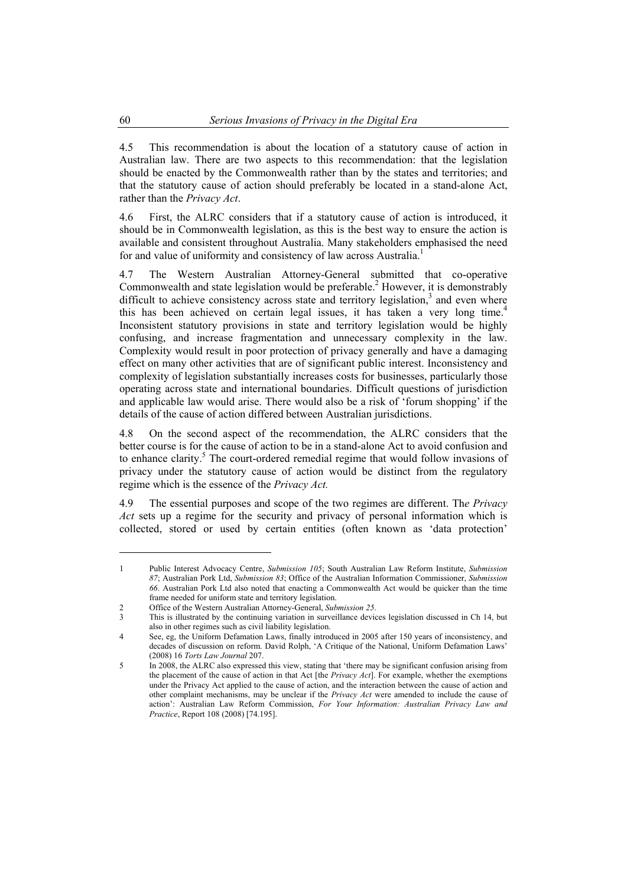4.5 This recommendation is about the location of a statutory cause of action in Australian law. There are two aspects to this recommendation: that the legislation should be enacted by the Commonwealth rather than by the states and territories; and that the statutory cause of action should preferably be located in a stand-alone Act, rather than the *Privacy Act*.

4.6 First, the ALRC considers that if a statutory cause of action is introduced, it should be in Commonwealth legislation, as this is the best way to ensure the action is available and consistent throughout Australia. Many stakeholders emphasised the need for and value of uniformity and consistency of law across Australia.<sup>1</sup>

4.7 The Western Australian Attorney-General submitted that co-operative Commonwealth and state legislation would be preferable.<sup>2</sup> However, it is demonstrably difficult to achieve consistency across state and territory legislation, $3$  and even where this has been achieved on certain legal issues, it has taken a very long time.<sup>4</sup> Inconsistent statutory provisions in state and territory legislation would be highly confusing, and increase fragmentation and unnecessary complexity in the law. Complexity would result in poor protection of privacy generally and have a damaging effect on many other activities that are of significant public interest. Inconsistency and complexity of legislation substantially increases costs for businesses, particularly those operating across state and international boundaries. Difficult questions of jurisdiction and applicable law would arise. There would also be a risk of 'forum shopping' if the details of the cause of action differed between Australian jurisdictions.

4.8 On the second aspect of the recommendation, the ALRC considers that the better course is for the cause of action to be in a stand-alone Act to avoid confusion and to enhance clarity.<sup>5</sup> The court-ordered remedial regime that would follow invasions of privacy under the statutory cause of action would be distinct from the regulatory regime which is the essence of the *Privacy Act.*

4.9 The essential purposes and scope of the two regimes are different. Th*e Privacy Act* sets up a regime for the security and privacy of personal information which is collected, stored or used by certain entities (often known as 'data protection'

<sup>1</sup> Public Interest Advocacy Centre, *Submission 105*; South Australian Law Reform Institute, *Submission 87*; Australian Pork Ltd, *Submission 83*; Office of the Australian Information Commissioner, *Submission 66*. Australian Pork Ltd also noted that enacting a Commonwealth Act would be quicker than the time frame needed for uniform state and territory legislation.

<sup>2</sup> Office of the Western Australian Attorney-General, *Submission 25*.

<sup>3</sup> This is illustrated by the continuing variation in surveillance devices legislation discussed in Ch 14, but also in other regimes such as civil liability legislation.

<sup>4</sup> See, eg, the Uniform Defamation Laws, finally introduced in 2005 after 150 years of inconsistency, and decades of discussion on reform. David Rolph, 'A Critique of the National, Uniform Defamation Laws' (2008) 16 *Torts Law Journal* 207.

<sup>5</sup> In 2008, the ALRC also expressed this view, stating that 'there may be significant confusion arising from the placement of the cause of action in that Act [the *Privacy Act*]. For example, whether the exemptions under the Privacy Act applied to the cause of action, and the interaction between the cause of action and other complaint mechanisms, may be unclear if the *Privacy Act* were amended to include the cause of action': Australian Law Reform Commission, *For Your Information: Australian Privacy Law and Practice*, Report 108 (2008) [74.195].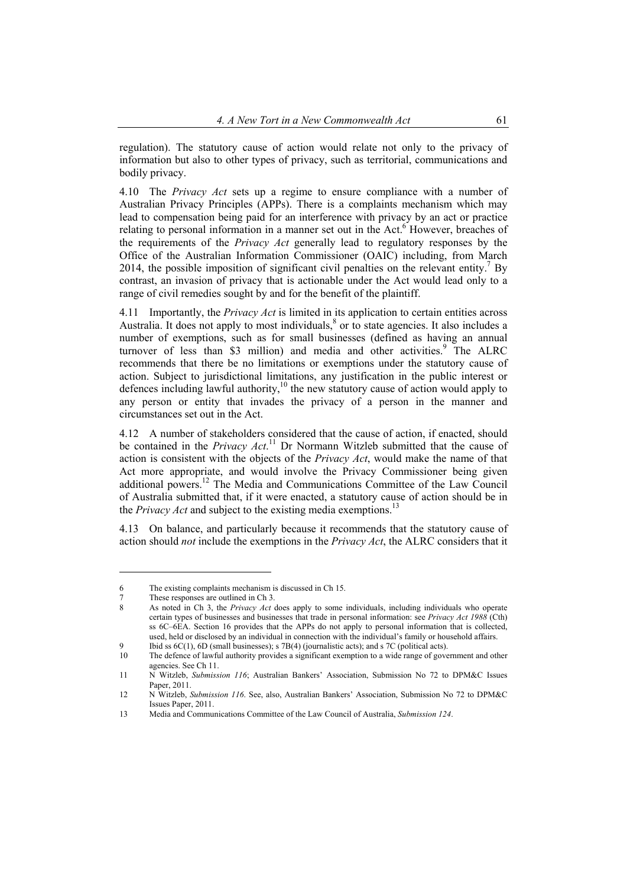regulation). The statutory cause of action would relate not only to the privacy of information but also to other types of privacy, such as territorial, communications and bodily privacy.

4.10 The *Privacy Act* sets up a regime to ensure compliance with a number of Australian Privacy Principles (APPs). There is a complaints mechanism which may lead to compensation being paid for an interference with privacy by an act or practice relating to personal information in a manner set out in the Act.<sup>6</sup> However, breaches of the requirements of the *Privacy Act* generally lead to regulatory responses by the Office of the Australian Information Commissioner (OAIC) including, from March 2014, the possible imposition of significant civil penalties on the relevant entity.<sup>7</sup> By contrast, an invasion of privacy that is actionable under the Act would lead only to a range of civil remedies sought by and for the benefit of the plaintiff.

4.11 Importantly, the *Privacy Act* is limited in its application to certain entities across Australia. It does not apply to most individuals, $\frac{8}{3}$  or to state agencies. It also includes a number of exemptions, such as for small businesses (defined as having an annual turnover of less than \$3 million) and media and other activities.<sup>9</sup> The ALRC recommends that there be no limitations or exemptions under the statutory cause of action. Subject to jurisdictional limitations, any justification in the public interest or defences including lawful authority,<sup>10</sup> the new statutory cause of action would apply to any person or entity that invades the privacy of a person in the manner and circumstances set out in the Act.

4.12 A number of stakeholders considered that the cause of action, if enacted, should be contained in the *Privacy Act*. 11 Dr Normann Witzleb submitted that the cause of action is consistent with the objects of the *Privacy Act*, would make the name of that Act more appropriate, and would involve the Privacy Commissioner being given additional powers.12 The Media and Communications Committee of the Law Council of Australia submitted that, if it were enacted, a statutory cause of action should be in the *Privacy Act* and subject to the existing media exemptions.<sup>1</sup>

4.13 On balance, and particularly because it recommends that the statutory cause of action should *not* include the exemptions in the *Privacy Act*, the ALRC considers that it

<sup>6</sup> The existing complaints mechanism is discussed in Ch 15.

<sup>7</sup> These responses are outlined in Ch 3.

<sup>8</sup> As noted in Ch 3, the *Privacy Act* does apply to some individuals, including individuals who operate certain types of businesses and businesses that trade in personal information: see *Privacy Act 1988* (Cth) ss 6C–6EA. Section 16 provides that the APPs do not apply to personal information that is collected, used, held or disclosed by an individual in connection with the individual's family or household affairs.

<sup>9</sup> Ibid ss 6C(1), 6D (small businesses); s 7B(4) (journalistic acts); and s 7C (political acts).

<sup>10</sup> The defence of lawful authority provides a significant exemption to a wide range of government and other agencies. See Ch 11.

<sup>11</sup> N Witzleb, *Submission 116*; Australian Bankers' Association, Submission No 72 to DPM&C Issues Paper, 2011.

<sup>12</sup> N Witzleb, *Submission 116*. See, also, Australian Bankers' Association, Submission No 72 to DPM&C Issues Paper, 2011.

<sup>13</sup> Media and Communications Committee of the Law Council of Australia, *Submission 124*.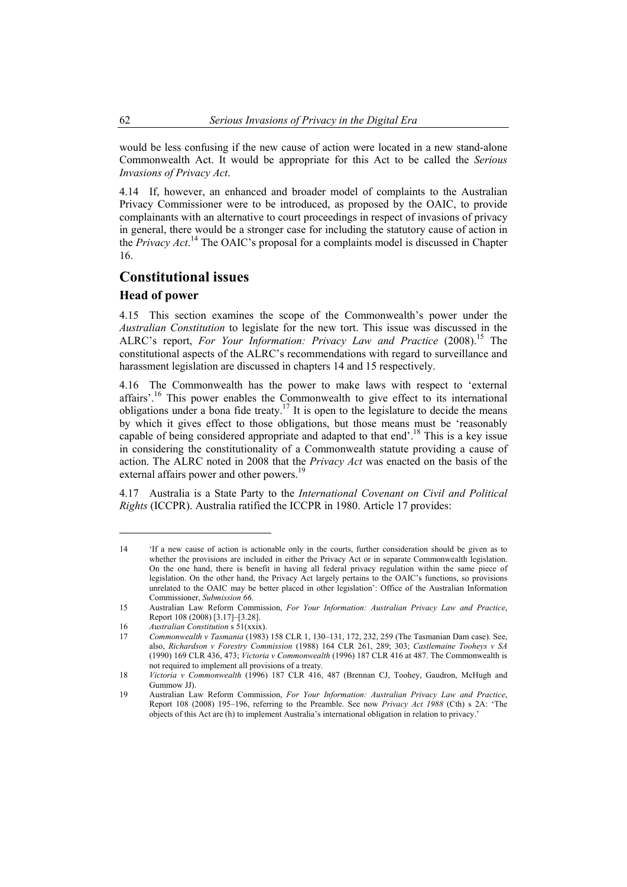would be less confusing if the new cause of action were located in a new stand-alone Commonwealth Act. It would be appropriate for this Act to be called the *Serious Invasions of Privacy Act*.

4.14 If, however, an enhanced and broader model of complaints to the Australian Privacy Commissioner were to be introduced, as proposed by the OAIC, to provide complainants with an alternative to court proceedings in respect of invasions of privacy in general, there would be a stronger case for including the statutory cause of action in the *Privacy Act*. 14 The OAIC's proposal for a complaints model is discussed in Chapter 16.

# **Constitutional issues**

#### **Head of power**

 $\overline{a}$ 

4.15 This section examines the scope of the Commonwealth's power under the *Australian Constitution* to legislate for the new tort. This issue was discussed in the ALRC's report, *For Your Information: Privacy Law and Practice* (2008).<sup>15</sup> The constitutional aspects of the ALRC's recommendations with regard to surveillance and harassment legislation are discussed in chapters 14 and 15 respectively.

4.16 The Commonwealth has the power to make laws with respect to 'external affairs'.<sup>16</sup> This power enables the Commonwealth to give effect to its international obligations under a bona fide treaty.<sup>17</sup> It is open to the legislature to decide the means by which it gives effect to those obligations, but those means must be 'reasonably capable of being considered appropriate and adapted to that end'.<sup>18</sup> This is a key issue in considering the constitutionality of a Commonwealth statute providing a cause of action. The ALRC noted in 2008 that the *Privacy Act* was enacted on the basis of the external affairs power and other powers.<sup>1</sup>

4.17 Australia is a State Party to the *International Covenant on Civil and Political Rights* (ICCPR). Australia ratified the ICCPR in 1980. Article 17 provides:

<sup>14 &#</sup>x27;If a new cause of action is actionable only in the courts, further consideration should be given as to whether the provisions are included in either the Privacy Act or in separate Commonwealth legislation. On the one hand, there is benefit in having all federal privacy regulation within the same piece of legislation. On the other hand, the Privacy Act largely pertains to the OAIC's functions, so provisions unrelated to the OAIC may be better placed in other legislation': Office of the Australian Information Commissioner, *Submission 66*.

<sup>15</sup> Australian Law Reform Commission, *For Your Information: Australian Privacy Law and Practice*, Report 108 (2008) [3.17]–[3.28].

<sup>16</sup> *Australian Constitution* s 51(xxix).

<sup>17</sup> *Commonwealth v Tasmania* (1983) 158 CLR 1, 130–131, 172, 232, 259 (The Tasmanian Dam case). See, also, *Richardson v Forestry Commission* (1988) 164 CLR 261, 289; 303; *Castlemaine Tooheys v SA* (1990) 169 CLR 436, 473; *Victoria v Commonwealth* (1996) 187 CLR 416 at 487. The Commonwealth is not required to implement all provisions of a treaty.

<sup>18</sup> *Victoria v Commonwealth* (1996) 187 CLR 416, 487 (Brennan CJ, Toohey, Gaudron, McHugh and Gummow JJ).

<sup>19</sup> Australian Law Reform Commission, *For Your Information: Australian Privacy Law and Practice*, Report 108 (2008) 195–196, referring to the Preamble. See now *Privacy Act 1988* (Cth) s 2A: 'The objects of this Act are (h) to implement Australia's international obligation in relation to privacy.'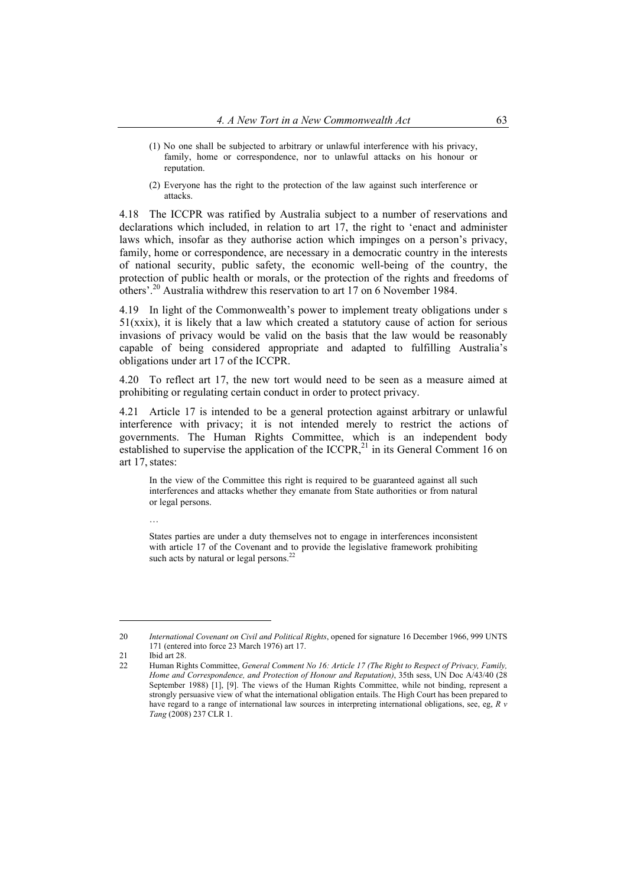- (1) No one shall be subjected to arbitrary or unlawful interference with his privacy, family, home or correspondence, nor to unlawful attacks on his honour or reputation.
- (2) Everyone has the right to the protection of the law against such interference or attacks.

4.18 The ICCPR was ratified by Australia subject to a number of reservations and declarations which included, in relation to art 17, the right to 'enact and administer laws which, insofar as they authorise action which impinges on a person's privacy, family, home or correspondence, are necessary in a democratic country in the interests of national security, public safety, the economic well-being of the country, the protection of public health or morals, or the protection of the rights and freedoms of others'.20 Australia withdrew this reservation to art 17 on 6 November 1984.

4.19 In light of the Commonwealth's power to implement treaty obligations under s  $51(xxix)$ , it is likely that a law which created a statutory cause of action for serious invasions of privacy would be valid on the basis that the law would be reasonably capable of being considered appropriate and adapted to fulfilling Australia's obligations under art 17 of the ICCPR.

4.20 To reflect art 17, the new tort would need to be seen as a measure aimed at prohibiting or regulating certain conduct in order to protect privacy.

4.21 Article 17 is intended to be a general protection against arbitrary or unlawful interference with privacy; it is not intended merely to restrict the actions of governments. The Human Rights Committee, which is an independent body established to supervise the application of the ICCPR, $^{21}$  in its General Comment 16 on art 17,states:

In the view of the Committee this right is required to be guaranteed against all such interferences and attacks whether they emanate from State authorities or from natural or legal persons.

States parties are under a duty themselves not to engage in interferences inconsistent with article 17 of the Covenant and to provide the legislative framework prohibiting such acts by natural or legal persons.<sup>2</sup>

 $\overline{a}$ 

…

<sup>20</sup> *International Covenant on Civil and Political Rights*, opened for signature 16 December 1966, 999 UNTS 171 (entered into force 23 March 1976) art 17.

<sup>21</sup> Ibid art 28

<sup>22</sup> Human Rights Committee, *General Comment No 16: Article 17 (The Right to Respect of Privacy, Family, Home and Correspondence, and Protection of Honour and Reputation)*, 35th sess, UN Doc A/43/40 (28 September 1988) [1], [9]. The views of the Human Rights Committee, while not binding, represent a strongly persuasive view of what the international obligation entails. The High Court has been prepared to have regard to a range of international law sources in interpreting international obligations, see, eg, *R v Tang* (2008) 237 CLR 1.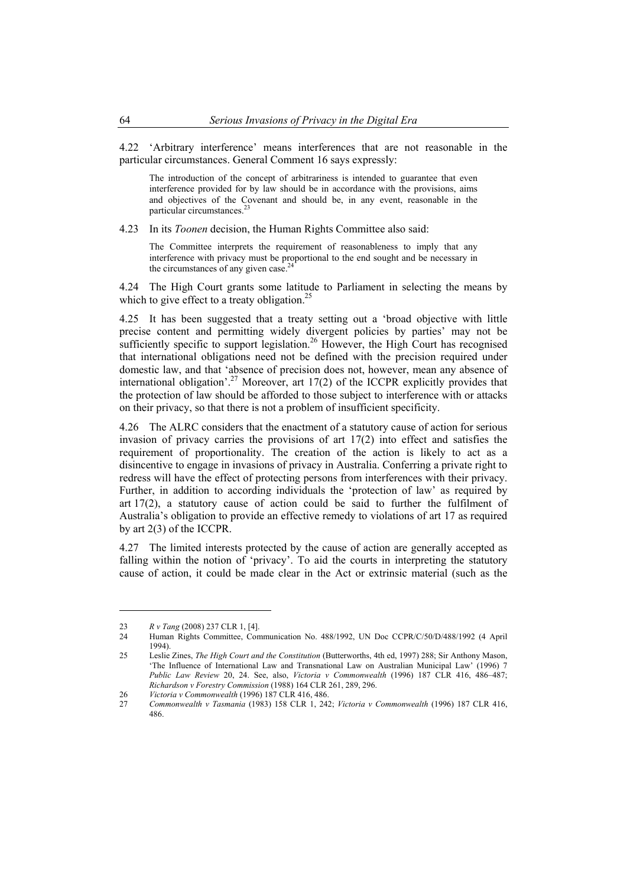4.22 'Arbitrary interference' means interferences that are not reasonable in the particular circumstances. General Comment 16 says expressly:

The introduction of the concept of arbitrariness is intended to guarantee that even interference provided for by law should be in accordance with the provisions, aims and objectives of the Covenant and should be, in any event, reasonable in the particular circumstances.<sup>2</sup>

4.23 In its *Toonen* decision, the Human Rights Committee also said:

The Committee interprets the requirement of reasonableness to imply that any interference with privacy must be proportional to the end sought and be necessary in the circumstances of any given case. $2^2$ 

4.24 The High Court grants some latitude to Parliament in selecting the means by which to give effect to a treaty obligation.<sup>25</sup>

4.25 It has been suggested that a treaty setting out a 'broad objective with little precise content and permitting widely divergent policies by parties' may not be sufficiently specific to support legislation.<sup>26</sup> However, the High Court has recognised that international obligations need not be defined with the precision required under domestic law, and that 'absence of precision does not, however, mean any absence of international obligation'.<sup>27</sup> Moreover, art  $17(2)$  of the ICCPR explicitly provides that the protection of law should be afforded to those subject to interference with or attacks on their privacy, so that there is not a problem of insufficient specificity.

4.26 The ALRC considers that the enactment of a statutory cause of action for serious invasion of privacy carries the provisions of art 17(2) into effect and satisfies the requirement of proportionality. The creation of the action is likely to act as a disincentive to engage in invasions of privacy in Australia. Conferring a private right to redress will have the effect of protecting persons from interferences with their privacy. Further, in addition to according individuals the 'protection of law' as required by art 17(2), a statutory cause of action could be said to further the fulfilment of Australia's obligation to provide an effective remedy to violations of art 17 as required by art 2(3) of the ICCPR.

4.27 The limited interests protected by the cause of action are generally accepted as falling within the notion of 'privacy'. To aid the courts in interpreting the statutory cause of action, it could be made clear in the Act or extrinsic material (such as the

<sup>23</sup> *R v Tang* (2008) 237 CLR 1, [4].

<sup>24</sup> Human Rights Committee, Communication No. 488/1992, UN Doc CCPR/C/50/D/488/1992 (4 April 1994).

<sup>25</sup> Leslie Zines, *The High Court and the Constitution* (Butterworths, 4th ed, 1997) 288; Sir Anthony Mason, 'The Influence of International Law and Transnational Law on Australian Municipal Law' (1996) 7 *Public Law Review* 20, 24. See, also, *Victoria v Commonwealth* (1996) 187 CLR 416, 486–487; *Richardson v Forestry Commission* (1988) 164 CLR 261, 289, 296.

<sup>26</sup> *Victoria v Commonwealth* (1996) 187 CLR 416, 486.

<sup>27</sup> *Commonwealth v Tasmania* (1983) 158 CLR 1, 242; *Victoria v Commonwealth* (1996) 187 CLR 416, 486.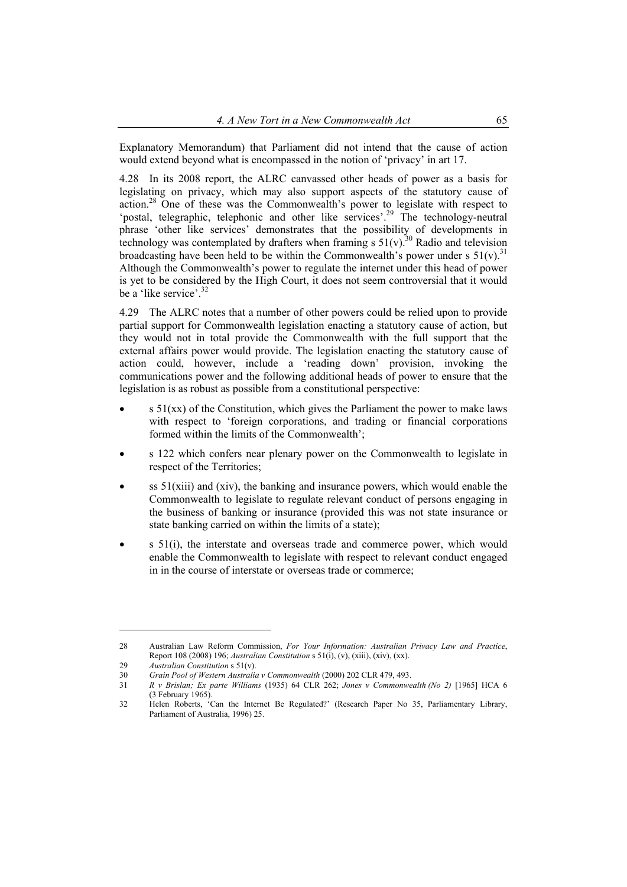Explanatory Memorandum) that Parliament did not intend that the cause of action would extend beyond what is encompassed in the notion of 'privacy' in art 17.

4.28 In its 2008 report, the ALRC canvassed other heads of power as a basis for legislating on privacy, which may also support aspects of the statutory cause of action.28 One of these was the Commonwealth's power to legislate with respect to 'postal, telegraphic, telephonic and other like services'.<sup>29</sup> The technology-neutral phrase 'other like services' demonstrates that the possibility of developments in technology was contemplated by drafters when framing s  $51(v)$ .<sup>30</sup> Radio and television broadcasting have been held to be within the Commonwealth's power under s  $51(v)$ .<sup>31</sup> Although the Commonwealth's power to regulate the internet under this head of power is yet to be considered by the High Court, it does not seem controversial that it would be a 'like service'.<sup>32</sup>

4.29 The ALRC notes that a number of other powers could be relied upon to provide partial support for Commonwealth legislation enacting a statutory cause of action, but they would not in total provide the Commonwealth with the full support that the external affairs power would provide. The legislation enacting the statutory cause of action could, however, include a 'reading down' provision, invoking the communications power and the following additional heads of power to ensure that the legislation is as robust as possible from a constitutional perspective:

- $s$  51(xx) of the Constitution, which gives the Parliament the power to make laws with respect to 'foreign corporations, and trading or financial corporations formed within the limits of the Commonwealth';
- s 122 which confers near plenary power on the Commonwealth to legislate in respect of the Territories;
- $\sigma$  ss 51(xiii) and (xiv), the banking and insurance powers, which would enable the Commonwealth to legislate to regulate relevant conduct of persons engaging in the business of banking or insurance (provided this was not state insurance or state banking carried on within the limits of a state);
- s 51(i), the interstate and overseas trade and commerce power, which would enable the Commonwealth to legislate with respect to relevant conduct engaged in in the course of interstate or overseas trade or commerce;

<sup>28</sup> Australian Law Reform Commission, *For Your Information: Australian Privacy Law and Practice*, Report 108 (2008) 196; *Australian Constitution* s 51(i), (v), (xiii), (xiv), (xx).

<sup>29</sup> *Australian Constitution* s 51(v).

<sup>30</sup> *Grain Pool of Western Australia v Commonwealth* (2000) 202 CLR 479, 493.

<sup>31</sup> *R v Brislan; Ex parte Williams* (1935) 64 CLR 262; *Jones v Commonwealth (No 2)* [1965] HCA 6 (3 February 1965).

<sup>32</sup> Helen Roberts, 'Can the Internet Be Regulated?' (Research Paper No 35, Parliamentary Library, Parliament of Australia, 1996) 25.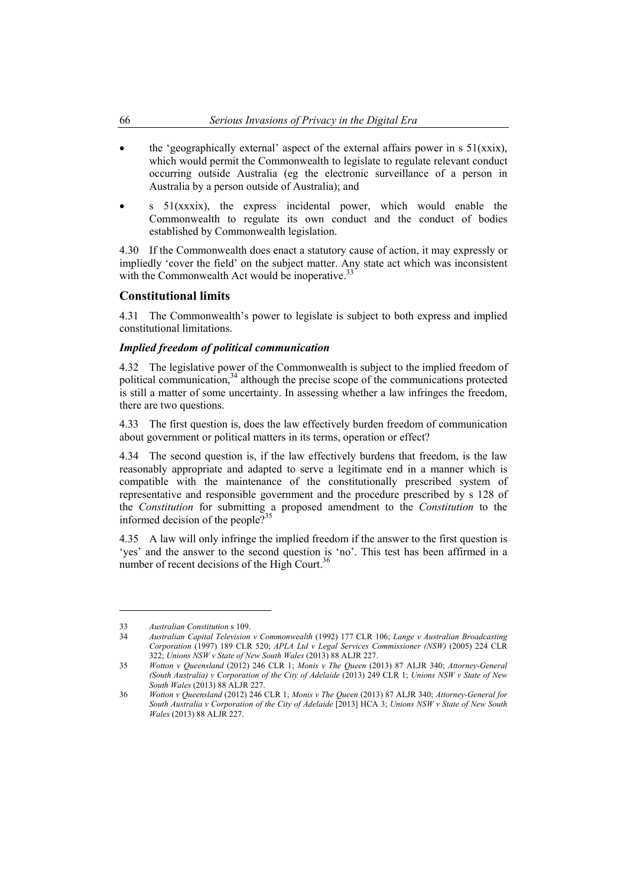- the 'geographically external' aspect of the external affairs power in s  $51(xxix)$ , which would permit the Commonwealth to legislate to regulate relevant conduct occurring outside Australia (eg the electronic surveillance of a person in Australia by a person outside of Australia); and
- $s$  51(xxxix), the express incidental power, which would enable the Commonwealth to regulate its own conduct and the conduct of bodies established by Commonwealth legislation.

4.30 If the Commonwealth does enact a statutory cause of action, it may expressly or impliedly 'cover the field' on the subject matter. Any state act which was inconsistent with the Commonwealth Act would be inoperative.<sup>33</sup>

### **Constitutional limits**

4.31 The Commonwealth's power to legislate is subject to both express and implied constitutional limitations.

#### *Implied freedom of political communication*

4.32 The legislative power of the Commonwealth is subject to the implied freedom of political communication,<sup>34</sup> although the precise scope of the communications protected is still a matter of some uncertainty. In assessing whether a law infringes the freedom, there are two questions.

4.33 The first question is, does the law effectively burden freedom of communication about government or political matters in its terms, operation or effect?

4.34 The second question is, if the law effectively burdens that freedom, is the law reasonably appropriate and adapted to serve a legitimate end in a manner which is compatible with the maintenance of the constitutionally prescribed system of representative and responsible government and the procedure prescribed by s 128 of the *Constitution* for submitting a proposed amendment to the *Constitution* to the informed decision of the people? $3<sup>35</sup>$ 

4.35 A law will only infringe the implied freedom if the answer to the first question is 'yes' and the answer to the second question is 'no'. This test has been affirmed in a number of recent decisions of the High Court.<sup>36</sup>

<sup>33</sup> *Australian Constitution* s 109.

<sup>34</sup> *Australian Capital Television v Commonwealth* (1992) 177 CLR 106; *Lange v Australian Broadcasting Corporation* (1997) 189 CLR 520; *APLA Ltd v Legal Services Commissioner (NSW)* (2005) 224 CLR 322; *Unions NSW v State of New South Wales* (2013) 88 ALJR 227.

<sup>35</sup> *Wotton v Queensland* (2012) 246 CLR 1; *Monis v The Queen* (2013) 87 ALJR 340; *Attorney-General (South Australia) v Corporation of the City of Adelaide* (2013) 249 CLR 1; *Unions NSW v State of New South Wales* (2013) 88 ALJR 227.

<sup>36</sup> *Wotton v Queensland* (2012) 246 CLR 1; *Monis v The Queen* (2013) 87 ALJR 340; *Attorney-General for South Australia v Corporation of the City of Adelaide* [2013] HCA 3; *Unions NSW v State of New South Wales* (2013) 88 ALJR 227.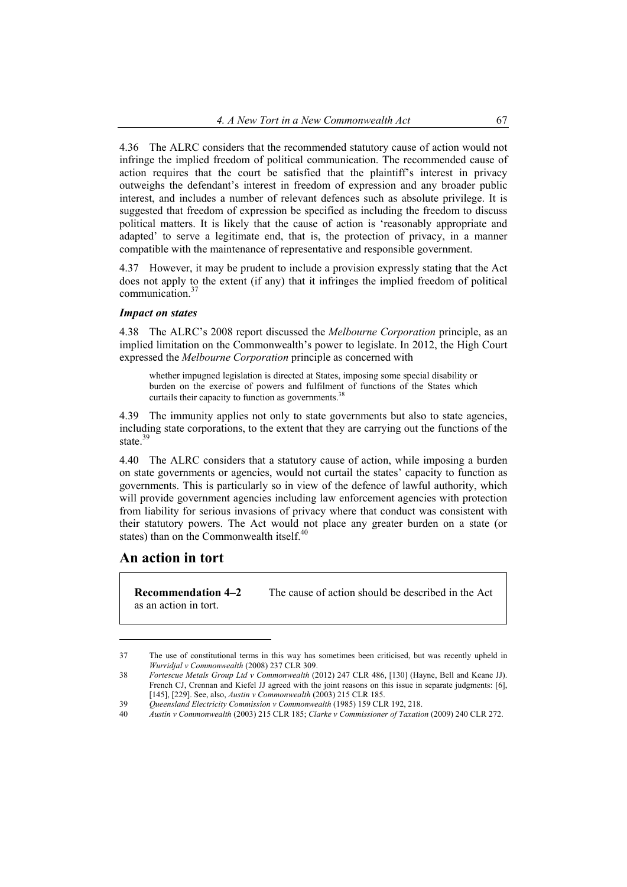4.36 The ALRC considers that the recommended statutory cause of action would not infringe the implied freedom of political communication. The recommended cause of action requires that the court be satisfied that the plaintiff's interest in privacy outweighs the defendant's interest in freedom of expression and any broader public interest, and includes a number of relevant defences such as absolute privilege. It is suggested that freedom of expression be specified as including the freedom to discuss political matters. It is likely that the cause of action is 'reasonably appropriate and adapted' to serve a legitimate end, that is, the protection of privacy, in a manner compatible with the maintenance of representative and responsible government.

4.37 However, it may be prudent to include a provision expressly stating that the Act does not apply to the extent (if any) that it infringes the implied freedom of political communication.37

#### *Impact on states*

4.38 The ALRC's 2008 report discussed the *Melbourne Corporation* principle, as an implied limitation on the Commonwealth's power to legislate. In 2012, the High Court expressed the *Melbourne Corporation* principle as concerned with

whether impugned legislation is directed at States, imposing some special disability or burden on the exercise of powers and fulfilment of functions of the States which curtails their capacity to function as governments.<sup>38</sup>

4.39 The immunity applies not only to state governments but also to state agencies, including state corporations, to the extent that they are carrying out the functions of the state.<sup>39</sup>

4.40 The ALRC considers that a statutory cause of action, while imposing a burden on state governments or agencies, would not curtail the states' capacity to function as governments. This is particularly so in view of the defence of lawful authority, which will provide government agencies including law enforcement agencies with protection from liability for serious invasions of privacy where that conduct was consistent with their statutory powers. The Act would not place any greater burden on a state (or states) than on the Commonwealth itself. $40$ 

### **An action in tort**

 $\overline{a}$ 

as an action in tort.

**Recommendation 4–2** The cause of action should be described in the Act

<sup>37</sup> The use of constitutional terms in this way has sometimes been criticised, but was recently upheld in *Wurridjal v Commonwealth* (2008) 237 CLR 309.

<sup>38</sup> *Fortescue Metals Group Ltd v Commonwealth* (2012) 247 CLR 486, [130] (Hayne, Bell and Keane JJ). French CJ, Crennan and Kiefel JJ agreed with the joint reasons on this issue in separate judgments: [6], [145], [229]. See, also, *Austin v Commonwealth* (2003) 215 CLR 185.

<sup>39</sup>*Queensland Electricity Commission v Commonwealth* (1985) 159 CLR 192, 218.

<sup>40</sup>*Austin v Commonwealth* (2003) 215 CLR 185; *Clarke v Commissioner of Taxation* (2009) 240 CLR 272.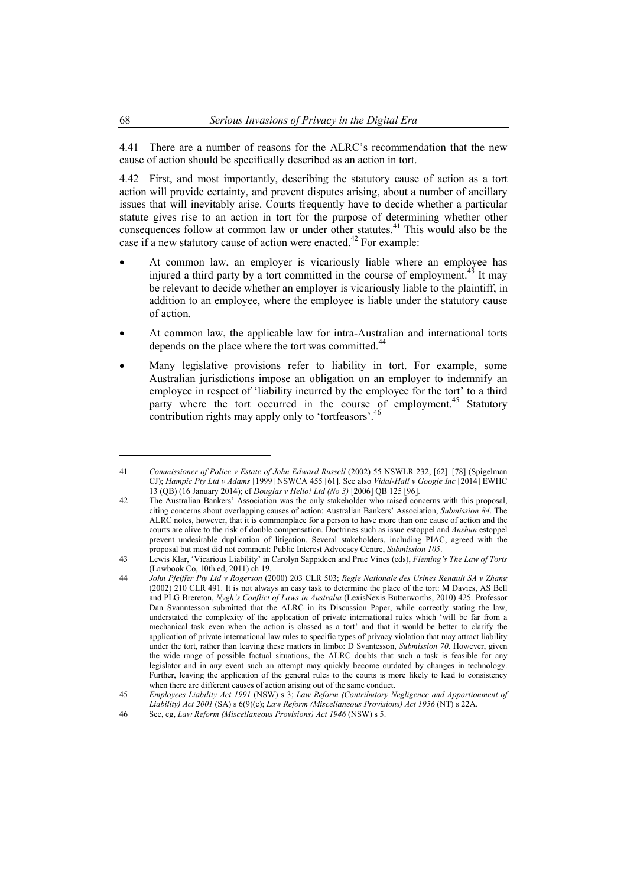4.41 There are a number of reasons for the ALRC's recommendation that the new cause of action should be specifically described as an action in tort.

4.42 First, and most importantly, describing the statutory cause of action as a tort action will provide certainty, and prevent disputes arising, about a number of ancillary issues that will inevitably arise. Courts frequently have to decide whether a particular statute gives rise to an action in tort for the purpose of determining whether other consequences follow at common law or under other statutes.<sup>41</sup> This would also be the case if a new statutory cause of action were enacted.<sup>42</sup> For example:

- At common law, an employer is vicariously liable where an employee has injured a third party by a tort committed in the course of employment.<sup>43</sup> It may be relevant to decide whether an employer is vicariously liable to the plaintiff, in addition to an employee, where the employee is liable under the statutory cause of action.
- At common law, the applicable law for intra-Australian and international torts depends on the place where the tort was committed.<sup>44</sup>
- Many legislative provisions refer to liability in tort. For example, some Australian jurisdictions impose an obligation on an employer to indemnify an employee in respect of 'liability incurred by the employee for the tort' to a third party where the tort occurred in the course of employment.<sup>45</sup> Statutory contribution rights may apply only to 'tortfeasors'.<sup>46</sup>

<sup>41</sup> *Commissioner of Police v Estate of John Edward Russell* (2002) 55 NSWLR 232, [62]–[78] (Spigelman CJ); *Hampic Pty Ltd v Adams* [1999] NSWCA 455 [61]. See also *Vidal-Hall v Google Inc* [2014] EWHC 13 (QB) (16 January 2014); cf *Douglas v Hello! Ltd (No 3)* [2006] QB 125 [96].

<sup>42</sup> The Australian Bankers' Association was the only stakeholder who raised concerns with this proposal, citing concerns about overlapping causes of action: Australian Bankers' Association, *Submission 84*. The ALRC notes, however, that it is commonplace for a person to have more than one cause of action and the courts are alive to the risk of double compensation. Doctrines such as issue estoppel and *Anshun* estoppel prevent undesirable duplication of litigation. Several stakeholders, including PIAC, agreed with the proposal but most did not comment: Public Interest Advocacy Centre, *Submission 105*.

<sup>43</sup> Lewis Klar, 'Vicarious Liability' in Carolyn Sappideen and Prue Vines (eds), *Fleming's The Law of Torts* (Lawbook Co, 10th ed, 2011) ch 19.

<sup>44</sup> *John Pfeiffer Pty Ltd v Rogerson* (2000) 203 CLR 503; *Regie Nationale des Usines Renault SA v Zhang* (2002) 210 CLR 491. It is not always an easy task to determine the place of the tort: M Davies, AS Bell and PLG Brereton, *Nygh's Conflict of Laws in Australia* (LexisNexis Butterworths, 2010) 425. Professor Dan Svanntesson submitted that the ALRC in its Discussion Paper, while correctly stating the law, understated the complexity of the application of private international rules which 'will be far from a mechanical task even when the action is classed as a tort' and that it would be better to clarify the application of private international law rules to specific types of privacy violation that may attract liability under the tort, rather than leaving these matters in limbo: D Svantesson, *Submission 70*. However, given the wide range of possible factual situations, the ALRC doubts that such a task is feasible for any legislator and in any event such an attempt may quickly become outdated by changes in technology. Further, leaving the application of the general rules to the courts is more likely to lead to consistency when there are different causes of action arising out of the same conduct.

<sup>45</sup> *Employees Liability Act 1991* (NSW) s 3; *Law Reform (Contributory Negligence and Apportionment of Liability) Act 2001* (SA) s 6(9)(c); *Law Reform (Miscellaneous Provisions) Act 1956* (NT) s 22A.

<sup>46</sup> See, eg, *Law Reform (Miscellaneous Provisions) Act 1946* (NSW) s 5.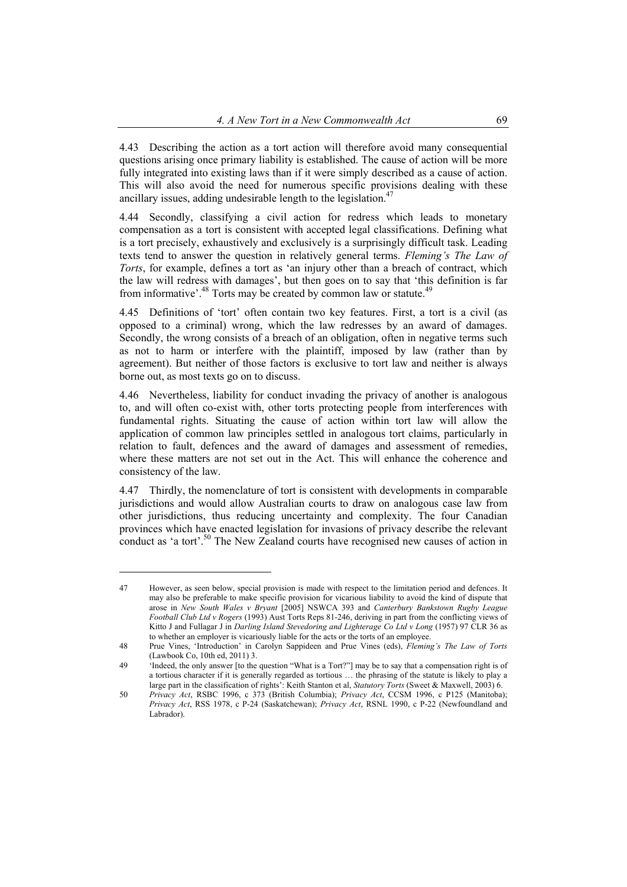4.43 Describing the action as a tort action will therefore avoid many consequential questions arising once primary liability is established. The cause of action will be more fully integrated into existing laws than if it were simply described as a cause of action. This will also avoid the need for numerous specific provisions dealing with these ancillary issues, adding undesirable length to the legislation.<sup>47</sup>

4.44 Secondly, classifying a civil action for redress which leads to monetary compensation as a tort is consistent with accepted legal classifications. Defining what is a tort precisely, exhaustively and exclusively is a surprisingly difficult task. Leading texts tend to answer the question in relatively general terms. *Fleming's The Law of Torts*, for example, defines a tort as 'an injury other than a breach of contract, which the law will redress with damages', but then goes on to say that 'this definition is far from informative'.<sup>48</sup> Torts may be created by common law or statute.<sup>49</sup>

4.45 Definitions of 'tort' often contain two key features. First, a tort is a civil (as opposed to a criminal) wrong, which the law redresses by an award of damages. Secondly, the wrong consists of a breach of an obligation, often in negative terms such as not to harm or interfere with the plaintiff, imposed by law (rather than by agreement). But neither of those factors is exclusive to tort law and neither is always borne out, as most texts go on to discuss.

4.46 Nevertheless, liability for conduct invading the privacy of another is analogous to, and will often co-exist with, other torts protecting people from interferences with fundamental rights. Situating the cause of action within tort law will allow the application of common law principles settled in analogous tort claims, particularly in relation to fault, defences and the award of damages and assessment of remedies, where these matters are not set out in the Act. This will enhance the coherence and consistency of the law.

4.47 Thirdly, the nomenclature of tort is consistent with developments in comparable jurisdictions and would allow Australian courts to draw on analogous case law from other jurisdictions, thus reducing uncertainty and complexity. The four Canadian provinces which have enacted legislation for invasions of privacy describe the relevant conduct as 'a tort'.50 The New Zealand courts have recognised new causes of action in

<sup>47</sup> However, as seen below, special provision is made with respect to the limitation period and defences. It may also be preferable to make specific provision for vicarious liability to avoid the kind of dispute that arose in *New South Wales v Bryant* [2005] NSWCA 393 and *Canterbury Bankstown Rugby League Football Club Ltd v Rogers* (1993) Aust Torts Reps 81-246, deriving in part from the conflicting views of Kitto J and Fullagar J in *Darling Island Stevedoring and Lighterage Co Ltd v Long* (1957) 97 CLR 36 as to whether an employer is vicariously liable for the acts or the torts of an employee.

<sup>48</sup> Prue Vines, 'Introduction' in Carolyn Sappideen and Prue Vines (eds), *Fleming's The Law of Torts* (Lawbook Co, 10th ed, 2011) 3.

<sup>49 &#</sup>x27;Indeed, the only answer [to the question "What is a Tort?"] may be to say that a compensation right is of a tortious character if it is generally regarded as tortious … the phrasing of the statute is likely to play a large part in the classification of rights': Keith Stanton et al, *Statutory Torts* (Sweet & Maxwell, 2003) 6.

<sup>50</sup> *Privacy Act*, RSBC 1996, c 373 (British Columbia); *Privacy Act*, CCSM 1996, c P125 (Manitoba); *Privacy Act*, RSS 1978, c P-24 (Saskatchewan); *Privacy Act*, RSNL 1990, c P-22 (Newfoundland and Labrador).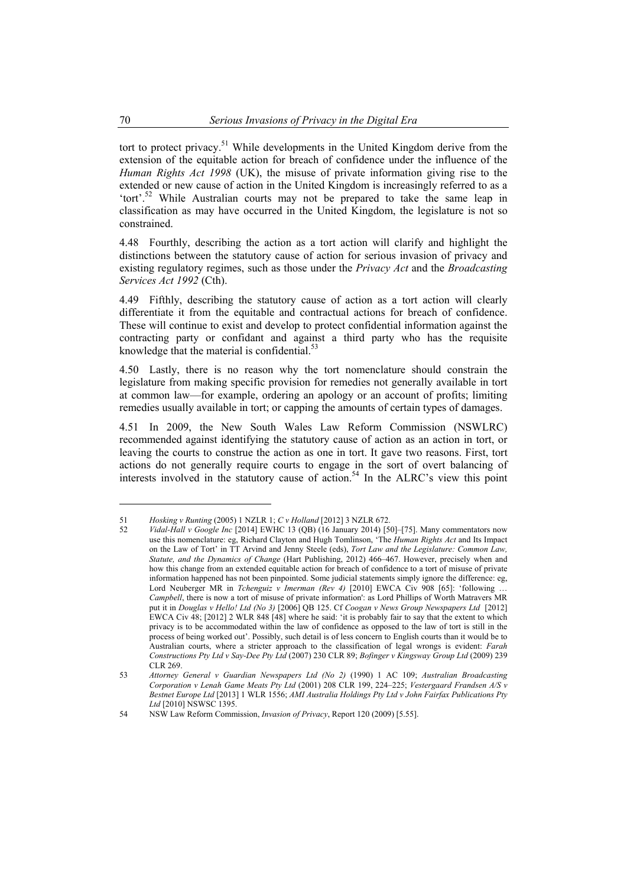tort to protect privacy.<sup>51</sup> While developments in the United Kingdom derive from the extension of the equitable action for breach of confidence under the influence of the *Human Rights Act 1998* (UK), the misuse of private information giving rise to the extended or new cause of action in the United Kingdom is increasingly referred to as a 'tort'.<sup>52</sup> While Australian courts may not be prepared to take the same leap in classification as may have occurred in the United Kingdom, the legislature is not so constrained.

4.48 Fourthly, describing the action as a tort action will clarify and highlight the distinctions between the statutory cause of action for serious invasion of privacy and existing regulatory regimes, such as those under the *Privacy Act* and the *Broadcasting Services Act 1992* (Cth).

4.49 Fifthly, describing the statutory cause of action as a tort action will clearly differentiate it from the equitable and contractual actions for breach of confidence. These will continue to exist and develop to protect confidential information against the contracting party or confidant and against a third party who has the requisite knowledge that the material is confidential. $53$ 

4.50 Lastly, there is no reason why the tort nomenclature should constrain the legislature from making specific provision for remedies not generally available in tort at common law—for example, ordering an apology or an account of profits; limiting remedies usually available in tort; or capping the amounts of certain types of damages.

4.51 In 2009, the New South Wales Law Reform Commission (NSWLRC) recommended against identifying the statutory cause of action as an action in tort, or leaving the courts to construe the action as one in tort. It gave two reasons. First, tort actions do not generally require courts to engage in the sort of overt balancing of interests involved in the statutory cause of action.<sup>54</sup> In the ALRC's view this point

<sup>51</sup> *Hosking v Runting* (2005) 1 NZLR 1; *C v Holland* [2012] 3 NZLR 672.

<sup>52</sup> *Vidal-Hall v Google Inc* [2014] EWHC 13 (QB) (16 January 2014) [50]–[75]. Many commentators now use this nomenclature: eg, Richard Clayton and Hugh Tomlinson, 'The *Human Rights Act* and Its Impact on the Law of Tort' in TT Arvind and Jenny Steele (eds), *Tort Law and the Legislature: Common Law, Statute, and the Dynamics of Change* (Hart Publishing, 2012) 466–467. However, precisely when and how this change from an extended equitable action for breach of confidence to a tort of misuse of private information happened has not been pinpointed. Some judicial statements simply ignore the difference: eg, Lord Neuberger MR in *Tchenguiz v Imerman (Rev 4)* [2010] EWCA Civ 908 [65]: 'following . *Campbell*, there is now a tort of misuse of private information': as Lord Phillips of Worth Matravers MR put it in *Douglas v Hello! Ltd (No 3)* [2006] QB 125. Cf *Coogan v News Group Newspapers Ltd* [2012] EWCA Civ 48; [2012] 2 WLR 848 [48] where he said: 'it is probably fair to say that the extent to which privacy is to be accommodated within the law of confidence as opposed to the law of tort is still in the process of being worked out'. Possibly, such detail is of less concern to English courts than it would be to Australian courts, where a stricter approach to the classification of legal wrongs is evident: *Farah Constructions Pty Ltd v Say-Dee Pty Ltd* (2007) 230 CLR 89; *Bofinger v Kingsway Group Ltd* (2009) 239 CLR 269

<sup>53</sup> *Attorney General v Guardian Newspapers Ltd (No 2)* (1990) 1 AC 109; *Australian Broadcasting Corporation v Lenah Game Meats Pty Ltd* (2001) 208 CLR 199, 224–225; *Vestergaard Frandsen A/S v Bestnet Europe Ltd* [2013] 1 WLR 1556; *AMI Australia Holdings Pty Ltd v John Fairfax Publications Pty Ltd* [2010] NSWSC 1395.

<sup>54</sup> NSW Law Reform Commission, *Invasion of Privacy*, Report 120 (2009) [5.55].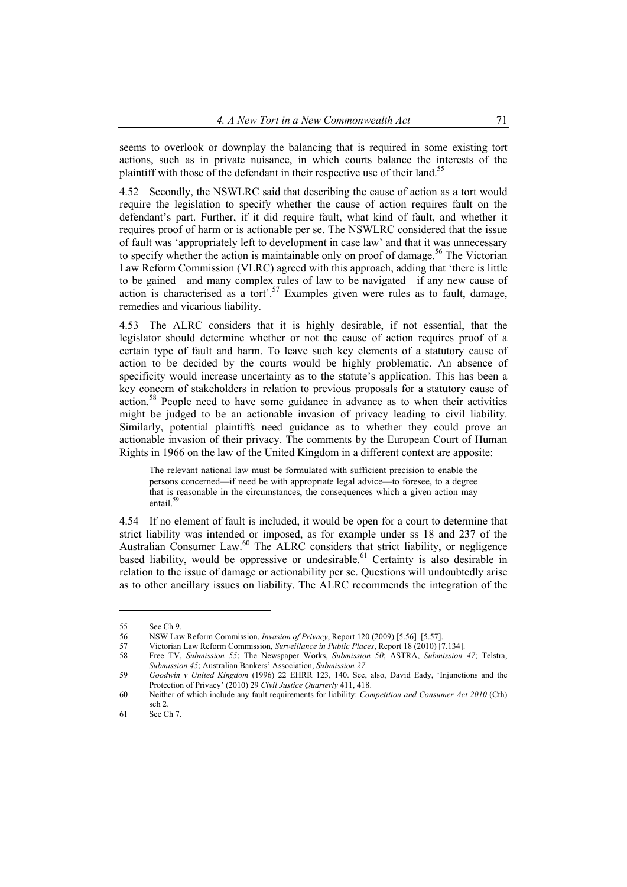seems to overlook or downplay the balancing that is required in some existing tort actions, such as in private nuisance, in which courts balance the interests of the plaintiff with those of the defendant in their respective use of their land.<sup>55</sup>

4.52 Secondly, the NSWLRC said that describing the cause of action as a tort would require the legislation to specify whether the cause of action requires fault on the defendant's part. Further, if it did require fault, what kind of fault, and whether it requires proof of harm or is actionable per se. The NSWLRC considered that the issue of fault was 'appropriately left to development in case law' and that it was unnecessary to specify whether the action is maintainable only on proof of damage.<sup>56</sup> The Victorian Law Reform Commission (VLRC) agreed with this approach, adding that 'there is little to be gained—and many complex rules of law to be navigated—if any new cause of action is characterised as a tort'.<sup>57</sup> Examples given were rules as to fault, damage, remedies and vicarious liability.

4.53 The ALRC considers that it is highly desirable, if not essential, that the legislator should determine whether or not the cause of action requires proof of a certain type of fault and harm. To leave such key elements of a statutory cause of action to be decided by the courts would be highly problematic. An absence of specificity would increase uncertainty as to the statute's application. This has been a key concern of stakeholders in relation to previous proposals for a statutory cause of action.58 People need to have some guidance in advance as to when their activities might be judged to be an actionable invasion of privacy leading to civil liability. Similarly, potential plaintiffs need guidance as to whether they could prove an actionable invasion of their privacy. The comments by the European Court of Human Rights in 1966 on the law of the United Kingdom in a different context are apposite:

The relevant national law must be formulated with sufficient precision to enable the persons concerned—if need be with appropriate legal advice—to foresee, to a degree that is reasonable in the circumstances, the consequences which a given action may entail.<sup>59</sup>

4.54 If no element of fault is included, it would be open for a court to determine that strict liability was intended or imposed, as for example under ss 18 and 237 of the Australian Consumer Law.<sup>60</sup> The ALRC considers that strict liability, or negligence based liability, would be oppressive or undesirable.<sup>61</sup> Certainty is also desirable in relation to the issue of damage or actionability per se. Questions will undoubtedly arise as to other ancillary issues on liability. The ALRC recommends the integration of the

<sup>55</sup> See Ch 9.<br>56 NSW La

<sup>56</sup> NSW Law Reform Commission, *Invasion of Privacy*, Report 120 (2009) [5.56]–[5.57].

<sup>57</sup> Victorian Law Reform Commission, *Surveillance in Public Places*, Report 18 (2010) [7.134].

<sup>58</sup> Free TV, *Submission 55*; The Newspaper Works, *Submission 50*; ASTRA, *Submission 47*; Telstra, *Submission 45*; Australian Bankers' Association, *Submission 27*.

<sup>59</sup> *Goodwin v United Kingdom* (1996) 22 EHRR 123, 140. See, also, David Eady, 'Injunctions and the Protection of Privacy' (2010) 29 *Civil Justice Quarterly* 411, 418.

<sup>60</sup> Neither of which include any fault requirements for liability: *Competition and Consumer Act 2010* (Cth) sch 2.

<sup>61</sup> See Ch 7.